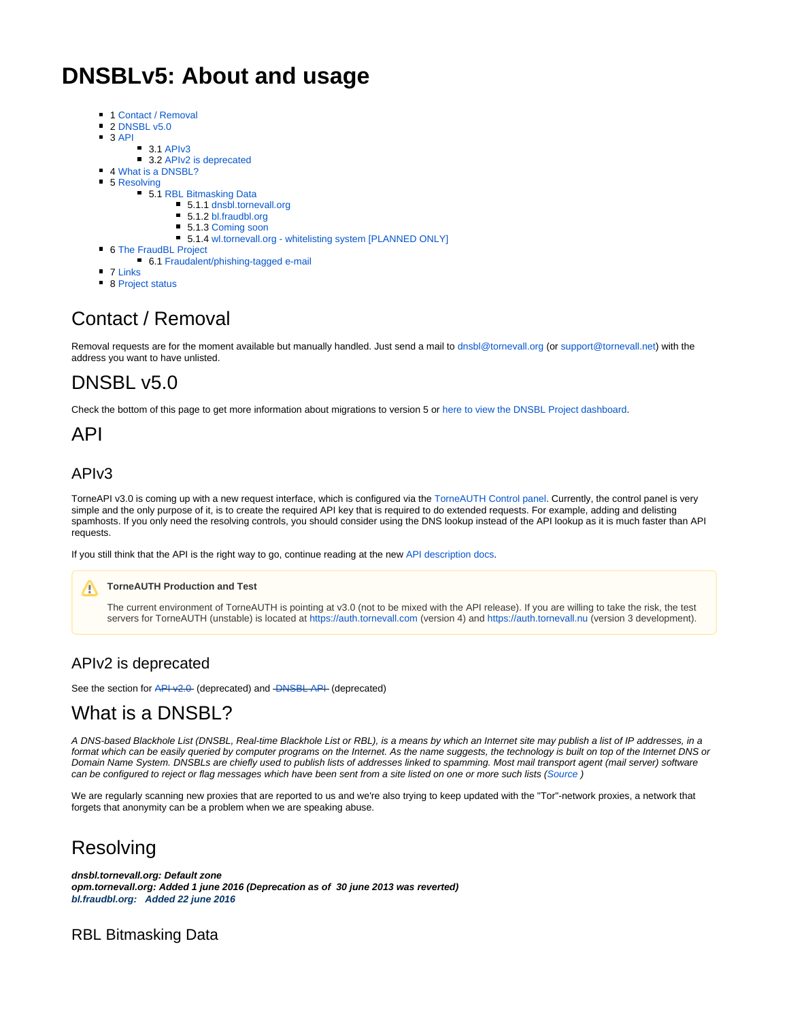# **DNSBLv5: About and usage**

- 1 [Contact / Removal](#page-0-0)
- $\blacksquare$ 2 [DNSBL v5.0](#page-0-1)
- $\blacksquare$ 3 [API](#page-0-2)
	- $\blacksquare$ 3.1 [APIv3](#page-0-3)
	- 3.2 [APIv2 is deprecated](#page-0-4)
- 4 [What is a DNSBL?](#page-0-5) ■ 5 [Resolving](#page-0-6)
	- - **5.1 [RBL Bitmasking Data](#page-0-7)** 5.1.1 [dnsbl.tornevall.org](#page-1-0)
			- 5.1.2 [bl.fraudbl.org](#page-1-1)
			- 5.1.3 [Coming soon](#page-1-2)
			- 5.1.4 [wl.tornevall.org whitelisting system \[PLANNED ONLY\]](#page-1-3)
- 6 [The FraudBL Project](#page-2-0)
	- 6.1 [Fraudalent/phishing-tagged e-mail](#page-2-1)
- **7 [Links](#page-2-2)**
- 8 [Project status](#page-2-3)

# <span id="page-0-0"></span>Contact / Removal

Removal requests are for the moment available but manually handled. Just send a mail to [dnsbl@tornevall.org](mailto:dnsbl@tornevall.org) (or [support@tornevall.net\)](mailto:support@tornevall.net) with the address you want to have unlisted.

## <span id="page-0-1"></span>DNSBL v5.0

Check the bottom of this page to get more information about migrations to version 5 or [here to view the DNSBL Project dashboard.](http://tracker.tornevall.net/secure/Dashboard.jspa?selectPageId=10601)

## <span id="page-0-2"></span>API

### <span id="page-0-3"></span>APIv3

TorneAPI v3.0 is coming up with a new request interface, which is configured via the [TorneAUTH Control panel](https://auth.tornevall.net/). Currently, the control panel is very simple and the only purpose of it, is to create the required API key that is required to do extended requests. For example, adding and delisting spamhosts. If you only need the resolving controls, you should consider using the DNS lookup instead of the API lookup as it is much faster than API requests.

If you still think that the API is the right way to go, continue reading at the new [API description docs.](https://docs.tornevall.net/display/TORNEVALL/Endpoint%3A+dnsbl+-+DNSBL+v5+with+API+v3)

#### **TorneAUTH Production and Test** ∧

The current environment of TorneAUTH is pointing at v3.0 (not to be mixed with the API release). If you are willing to take the risk, the test servers for TorneAUTH (unstable) is located at<https://auth.tornevall.com> (version 4) and<https://auth.tornevall.nu> (version 3 development).

#### <span id="page-0-4"></span>APIv2 is deprecated

See the section for [API v2.0](https://docs.tornevall.net/display/TN/API+v2.0) (deprecated) and [DNSBL API](https://docs.tornevall.net/display/TN/DNSBL+API) (deprecated)

### <span id="page-0-5"></span>What is a DNSBL?

A DNS-based Blackhole List (DNSBL, Real-time Blackhole List or RBL), is a means by which an Internet site may publish a list of IP addresses, in a format which can be easily queried by computer programs on the Internet. As the name suggests, the technology is built on top of the Internet DNS or Domain Name System. DNSBLs are chiefly used to publish lists of addresses linked to spamming. Most mail transport agent (mail server) software can be configured to reject or flag messages which have been sent from a site listed on one or more such lists ([Source](http://en.wikipedia.org/wiki/DNSBL) )

We are regularly scanning new proxies that are reported to us and we're also trying to keep updated with the "Tor"-network proxies, a network that forgets that anonymity can be a problem when we are speaking abuse.

### <span id="page-0-6"></span>Resolving

**dnsbl.tornevall.org: Default zone opm.tornevall.org: Added 1 june 2016 (Deprecation as of 30 june 2013 was reverted) bl.fraudbl.org: Added 22 june 2016**

#### <span id="page-0-7"></span>RBL Bitmasking Data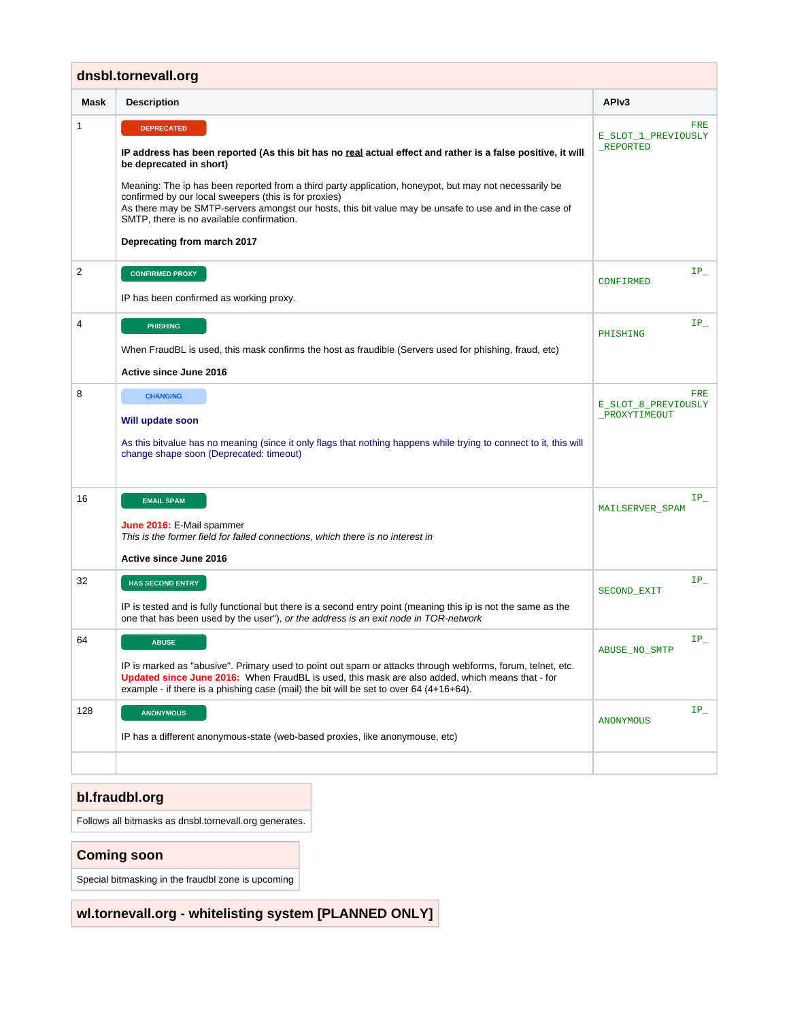<span id="page-1-0"></span>

| dnsbl.tornevall.org |                                                                                                                                                                                                                                                                                                                                                                                                                                                                                                                      |                                             |
|---------------------|----------------------------------------------------------------------------------------------------------------------------------------------------------------------------------------------------------------------------------------------------------------------------------------------------------------------------------------------------------------------------------------------------------------------------------------------------------------------------------------------------------------------|---------------------------------------------|
| <b>Mask</b>         | <b>Description</b>                                                                                                                                                                                                                                                                                                                                                                                                                                                                                                   | API <sub>v3</sub>                           |
| 1                   | <b>DEPRECATED</b><br>IP address has been reported (As this bit has no real actual effect and rather is a false positive, it will<br>be deprecated in short)<br>Meaning: The ip has been reported from a third party application, honeypot, but may not necessarily be<br>confirmed by our local sweepers (this is for proxies)<br>As there may be SMTP-servers amongst our hosts, this bit value may be unsafe to use and in the case of<br>SMTP, there is no available confirmation.<br>Deprecating from march 2017 | FRE<br>E_SLOT_1_PREVIOUSLY<br>_REPORTED     |
| $\overline{2}$      | <b>CONFIRMED PROXY</b><br>IP has been confirmed as working proxy.                                                                                                                                                                                                                                                                                                                                                                                                                                                    | $IP_$<br><b>CONFIRMED</b>                   |
| 4                   | <b>PHISHING</b><br>When FraudBL is used, this mask confirms the host as fraudible (Servers used for phishing, fraud, etc)<br>Active since June 2016                                                                                                                                                                                                                                                                                                                                                                  | $\mathtt{IP\_}$<br>PHISHING                 |
| 8                   | <b>CHANGING</b><br>Will update soon<br>As this bitvalue has no meaning (since it only flags that nothing happens while trying to connect to it, this will<br>change shape soon (Deprecated: timeout)                                                                                                                                                                                                                                                                                                                 | FRE<br>E_SLOT_8_PREVIOUSLY<br>_PROXYTIMEOUT |
| 16                  | <b>EMAIL SPAM</b><br>June 2016: E-Mail spammer<br>This is the former field for failed connections, which there is no interest in<br>Active since June 2016                                                                                                                                                                                                                                                                                                                                                           | IP -<br>MAILSERVER_SPAM                     |
| 32                  | <b>HAS SECOND ENTRY</b><br>IP is tested and is fully functional but there is a second entry point (meaning this ip is not the same as the<br>one that has been used by the user"), or the address is an exit node in TOR-network                                                                                                                                                                                                                                                                                     | $IP_$<br>SECOND_EXIT                        |
| 64                  | <b>ABUSE</b><br>IP is marked as "abusive". Primary used to point out spam or attacks through webforms, forum, telnet, etc.<br>Updated since June 2016: When FraudBL is used, this mask are also added, which means that - for<br>example - if there is a phishing case (mail) the bit will be set to over $64(4+16+64)$ .                                                                                                                                                                                            | IP<br>ABUSE_NO_SMTP                         |
| 128                 | <b>ANONYMOUS</b><br>IP has a different anonymous-state (web-based proxies, like anonymouse, etc)                                                                                                                                                                                                                                                                                                                                                                                                                     | $\texttt{IP\_}$<br><b>ANONYMOUS</b>         |
|                     |                                                                                                                                                                                                                                                                                                                                                                                                                                                                                                                      |                                             |

#### <span id="page-1-1"></span>**bl.fraudbl.org**

Follows all bitmasks as dnsbl.tornevall.org generates.

#### <span id="page-1-2"></span>**Coming soon**

Special bitmasking in the fraudbl zone is upcoming

<span id="page-1-3"></span>**wl.tornevall.org - whitelisting system [PLANNED ONLY]**